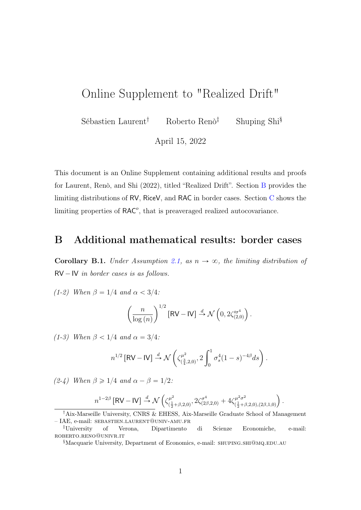## <span id="page-0-1"></span>Online Supplement to "Realized Drift"

Sébastien Laurent† Roberto Renò‡ Shuping Shi§

April 15, 2022

This document is an Online Supplement containing additional results and proofs for Laurent, Renò, and Shi (2022), titled "Realized Drift". Section [B](#page-0-0) provides the limiting distributions of RV, RiceV, and RAC in border cases. Section [C](#page-2-0) shows the limiting properties of RAC<sup>o</sup>, that is preaveraged realized autocovariance.

## <span id="page-0-0"></span>B Additional mathematical results: border cases

Corollary B.1. Under Assumption 2.1, as  $n \to \infty$ , the limiting distribution of  $RV - IV$  in border cases is as follows.

(1-2) When  $\beta = 1/4$  and  $\alpha < 3/4$ :

$$
\left(\frac{n}{\log\left(n\right)}\right)^{1/2}\left[\mathsf{RV}-\mathsf{IV}\right] \stackrel{d}{\rightarrow} \mathcal{N}\left(0, 2\zeta_{(2,0)}^{\prime\sigma^4}\right).
$$

(1-3) When  $\beta$  < 1/4 and  $\alpha = 3/4$ :

$$
n^{1/2}\left[\mathsf{RV}-\mathsf{IV}\right] \stackrel{d}{\rightarrow} \mathcal{N}\left(\zeta^{\mu^2}_{(\frac{3}{4},2,0)},2\int_0^1\sigma_s^4(1-s)^{-4\beta}ds\right).
$$

(2-4) When  $\beta \geq 1/4$  and  $\alpha - \beta = 1/2$ :

$$
n^{1-2\beta} [RV - IV] \stackrel{d}{\rightarrow} \mathcal{N}\left( \zeta^{\mu^2}_{(\frac{1}{2}+\beta,2,0)}, 2\zeta^{\sigma^4}_{(2\beta,2,0)} + 4\zeta^{\mu^2 \sigma^2}_{(\frac{1}{2}+\beta,2,0),(2\beta,1,0)} \right).
$$

<sup>†</sup>Aix-Marseille University, CNRS & EHESS, Aix-Marseille Graduate School of Management – IAE, e-mail: sebastien.laurent@univ-amu.fr

<sup>‡</sup>University of Verona, Dipartimento di Scienze Economiche, e-mail: roberto.reno@univr.it

<sup>§</sup>Macquarie University, Department of Economics, e-mail: shuping.shi@mq.edu.au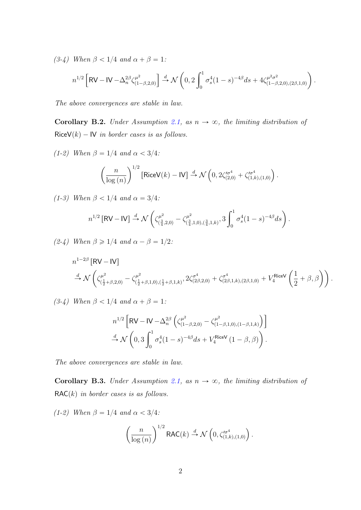(3-4) When  $\beta < 1/4$  and  $\alpha + \beta = 1$ :

$$
n^{1/2} \left[ \mathsf{RV} - \mathsf{IV} - \Delta_n^{2\beta} \zeta_{(1-\beta,2,0)}^{\mu^2} \right] \stackrel{d}{\to} \mathcal{N} \left( 0, 2 \int_0^1 \sigma_s^4 (1-s)^{-4\beta} ds + 4 \zeta_{(1-\beta,2,0),(2\beta,1,0)}^{\mu^2 \sigma^2} \right).
$$

The above convergences are stable in law.

Corollary B.2. Under Assumption [2.1,](#page-0-1) as  $n \to \infty$ , the limiting distribution of  $RiceV(k) - IV$  in border cases is as follows.

(1-2) When  $\beta = 1/4$  and  $\alpha < 3/4$ :

$$
\left(\frac{n}{\log\left(n\right)}\right)^{1/2}\left[\mathsf{RiceV}(k)-\mathsf{IV}\right]\overset{d}{\to}\mathcal{N}\left(0,2\zeta_{(2,0)}^{\prime\sigma^{4}}+\zeta_{(1,k),(1,0)}^{\prime\sigma^{4}}\right)
$$

.

(1-3) When  $\beta$  < 1/4 and  $\alpha = 3/4$ :

$$
n^{1/2} \left[ \mathsf{RV-IV} \right] \stackrel{d}{\to} \mathcal{N} \left( \zeta^{\mu^2}_{(\frac{3}{4},2,0)} - \zeta^{\mu^2}_{(\frac{3}{4},1,0),(\frac{3}{4},1,k)}, 3 \int_0^1 \sigma_s^4 (1-s)^{-4\beta} ds \right).
$$

(2-4) When  $\beta \geq 1/4$  and  $\alpha - \beta = 1/2$ :

$$
n^{1-2\beta} \left[\text{RV} - \text{IV}\right]
$$
  

$$
\stackrel{d}{\rightarrow} \mathcal{N}\left(\zeta^{\mu^2}_{(\frac{1}{2}+\beta,2,0)} - \zeta^{\mu^2}_{(\frac{1}{2}+\beta,1,0),(\frac{1}{2}+\beta,1,k)}, 2\zeta^{\sigma^4}_{(2\beta,2,0)} + \zeta^{\sigma^4}_{(2\beta,1,k),(2\beta,1,0)} + V_4^{\text{RiceV}}\left(\frac{1}{2}+\beta,\beta\right)\right).
$$

(3-4) When  $\beta < 1/4$  and  $\alpha + \beta = 1$ :

$$
n^{1/2} \left[ \text{RV} - \text{IV} - \Delta_n^{2\beta} \left( \zeta_{(1-\beta,2,0)}^{\mu^2} - \zeta_{(1-\beta,1,0),(1-\beta,1,k)}^{\mu^2} \right) \right]
$$
  

$$
\stackrel{d}{\rightarrow} \mathcal{N} \left( 0, 3 \int_0^1 \sigma_s^4 (1-s)^{-4\beta} ds + V_4^{\text{RiceV}} (1-\beta, \beta) \right).
$$

The above convergences are stable in law.

Corollary B.3. Under Assumption [2.1,](#page-0-1) as  $n \to \infty$ , the limiting distribution of  $RAC(k)$  in border cases is as follows.

(1-2) When  $\beta = 1/4$  and  $\alpha < 3/4$ :

$$
\left(\frac{n}{\log(n)}\right)^{1/2} \textsf{RAC}(k) \stackrel{d}{\rightarrow} \mathcal{N}\left(0, \zeta_{(1,k),(1,0)}^{\prime \sigma^4}\right).
$$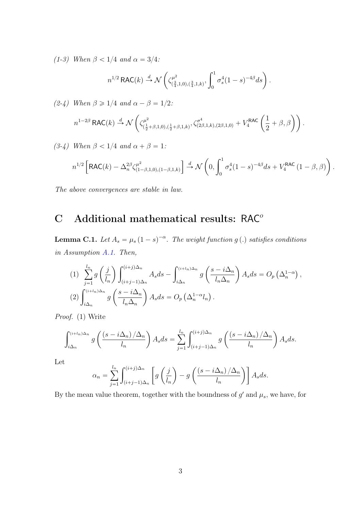(1-3) When  $\beta$  < 1/4 and  $\alpha$  = 3/4:

$$
n^{1/2} \, \text{RAC}(k) \stackrel{d}{\to} \mathcal{N}\left(\zeta^{\mu^2}_{(\frac{3}{4},1,0),(\frac{3}{4},1,k)}, \int_0^1 \sigma_s^4 (1-s)^{-4\beta} ds\right).
$$

(2-4) When  $\beta \geq 1/4$  and  $\alpha - \beta = 1/2$ : ˆ

$$
n^{1-2\beta} \, \text{RAC}(k) \xrightarrow{d} \mathcal{N}\left( \zeta^{\mu^2}_{(\frac{1}{2}+\beta,1,0),(\frac{1}{2}+\beta,1,k)}, \zeta^{\sigma^4}_{(2\beta,1,k),(2\beta,1,0)} + V_4^{\text{RAC}}\left( \frac{1}{2} + \beta, \beta \right) \right).
$$

(3-4) When  $\beta < 1/4$  and  $\alpha + \beta = 1$ :

$$
n^{1/2} \left[ \text{RAC}(k) - \Delta_n^{2\beta} \zeta_{(1-\beta,1,0),(1-\beta,1,k)}^{\mu^2} \right] \stackrel{d}{\to} \mathcal{N} \left( 0, \int_0^1 \sigma_s^4 (1-s)^{-4\beta} ds + V_4^{\text{RAC}} \left( 1 - \beta, \beta \right) \right).
$$

The above convergences are stable in law.

## <span id="page-2-0"></span> $C$  Additional mathematical results: RAC<sup>o</sup>

<span id="page-2-1"></span>**Lemma C.1.** Let  $A_s = \mu_s (1 - s)^{-\alpha}$ . The weight function g(.) satisfies conditions in Assumption [A.1.](#page-0-1) Then,

(1) 
$$
\sum_{j=1}^{l_n} g\left(\frac{j}{l_n}\right) \int_{(i+j-1)\Delta_n}^{(i+j)\Delta_n} A_s ds - \int_{i\Delta_n}^{(i+l_n)\Delta_n} g\left(\frac{s-i\Delta_n}{l_n\Delta_n}\right) A_s ds = O_p\left(\Delta_n^{1-\alpha}\right),
$$
  
\n(2) 
$$
\int_{i\Delta_n}^{(i+l_n)\Delta_n} g\left(\frac{s-i\Delta_n}{l_n\Delta_n}\right) A_s ds = O_p\left(\Delta_n^{1-\alpha}l_n\right).
$$

Proof. (1) Write

$$
\int_{i\Delta_n}^{(i+l_n)\Delta_n} g\left(\frac{(s-i\Delta_n)/\Delta_n}{l_n}\right) A_s ds = \sum_{j=1}^{l_n} \int_{(i+j-1)\Delta_n}^{(i+j)\Delta_n} g\left(\frac{(s-i\Delta_n)/\Delta_n}{l_n}\right) A_s ds.
$$

Let

$$
\alpha_n = \sum_{j=1}^{l_n} \int_{(i+j-1)\Delta_n}^{(i+j)\Delta_n} \left[ g\left(\frac{j}{l_n}\right) - g\left(\frac{\left(s - i\Delta_n\right)/\Delta_n}{l_n}\right) \right] A_s ds.
$$

By the mean value theorem, together with the boundness of  $g'$  and  $\mu_s$ , we have, for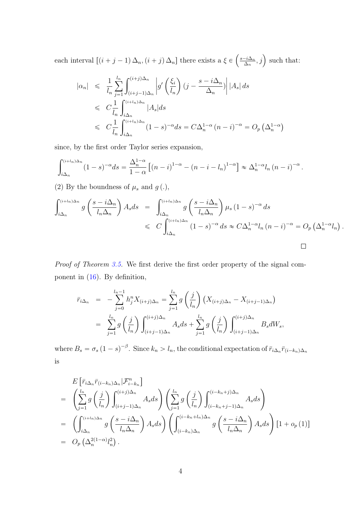each interval  $[(i + j - 1)\Delta_n, (i + j)\Delta_n]$  there exists a  $\xi \in$  $\mathbf{r}$  $s-i\Delta_n$  $\left(\frac{-i\Delta_n}{\Delta_n},j\right)$  such that:

$$
\begin{aligned}\n|\alpha_n| &\leq \frac{1}{l_n} \sum_{j=1}^{l_n} \int_{(i+j-1)\Delta_n}^{(i+j)\Delta_n} \left| g'\left(\frac{\xi_i}{l_n}\right) (j - \frac{s - i\Delta_n}{\Delta_n}) \right| |A_s| \, ds \\
&\leq C \frac{1}{l_n} \int_{i\Delta_n}^{(i+l_n)\Delta_n} |A_s| \, ds \\
&\leq C \frac{1}{l_n} \int_{i\Delta_n}^{(i+l_n)\Delta_n} (1-s)^{-\alpha} \, ds = C \Delta_n^{1-\alpha} (n-i)^{-\alpha} = O_p \left(\Delta_n^{1-\alpha}\right)\n\end{aligned}
$$

since, by the first order Taylor series expansion,

$$
\int_{i\Delta_n}^{(i+l_n)\Delta_n} (1-s)^{-\alpha} ds = \frac{\Delta_n^{1-\alpha}}{1-\alpha} \left[ (n-i)^{1-\alpha} - (n-i-l_n)^{1-\alpha} \right] \approx \Delta_n^{1-\alpha} l_n (n-i)^{-\alpha}.
$$

(2) By the boundness of  $\mu_s$  and  $g(.)$ ,

$$
\int_{i\Delta_n}^{(i+l_n)\Delta_n} g\left(\frac{s-i\Delta_n}{l_n\Delta_n}\right) A_s ds = \int_{i\Delta_n}^{(i+l_n)\Delta_n} g\left(\frac{s-i\Delta_n}{l_n\Delta_n}\right) \mu_s (1-s)^{-\alpha} ds
$$
  
\$\leqslant C \int\_{i\Delta\_n}^{(i+l\_n)\Delta\_n} (1-s)^{-\alpha} ds \approx C \Delta\_n^{1-\alpha} l\_n (n-i)^{-\alpha} = O\_p \left(\Delta\_n^{1-\alpha} l\_n\right).

Proof of Theorem [3.5.](#page-0-1) We first derive the first order property of the signal component in [\(16\)](#page-0-1). By definition,

$$
\bar{r}_{i\Delta_n} = -\sum_{j=0}^{l_n-1} h_j^n X_{(i+j)\Delta_n} = \sum_{j=1}^{l_n} g\left(\frac{j}{l_n}\right) \left(X_{(i+j)\Delta_n} - X_{(i+j-1)\Delta_n}\right)
$$
  
\n
$$
= \sum_{j=1}^{l_n} g\left(\frac{j}{l_n}\right) \int_{(i+j-1)\Delta_n}^{(i+j)\Delta_n} A_s ds + \sum_{j=1}^{l_n} g\left(\frac{j}{l_n}\right) \int_{(i+j-1)\Delta_n}^{(i+j)\Delta_n} B_s dW_s,
$$

where  $B_s = \sigma_s (1 - s)^{-\beta}$ . Since  $k_n > l_n$ , the conditional expectation of  $\bar{r}_{i\Delta_n} \bar{r}_{(i-k_n)\Delta_n}$ is

$$
E\left[\bar{r}_{i\Delta_n}\bar{r}_{(i-k_n)\Delta_n}|\mathcal{F}_{i-k_n}^n\right]
$$
\n
$$
= \left(\sum_{j=1}^{l_n} g\left(\frac{j}{l_n}\right) \int_{(i+j-1)\Delta_n}^{(i+j)\Delta_n} A_s ds\right) \left(\sum_{j=1}^{l_n} g\left(\frac{j}{l_n}\right) \int_{(i-k_n+j-1)\Delta_n}^{(i-k_n+j)\Delta_n} A_s ds\right)
$$
\n
$$
= \left(\int_{i\Delta_n}^{(i+l_n)\Delta_n} g\left(\frac{s-i\Delta_n}{l_n\Delta_n}\right) A_s ds\right) \left(\int_{(i-k_n)\Delta_n}^{(i-k_n+l_n)\Delta_n} g\left(\frac{s-i\Delta_n}{l_n\Delta_n}\right) A_s ds\right) [1+o_p(1)]
$$
\n
$$
= O_p\left(\Delta_n^{2(1-\alpha)}l_n^2\right).
$$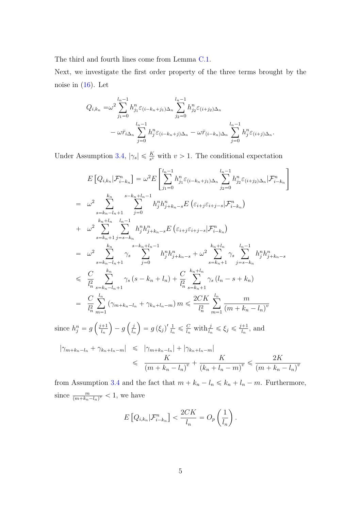The third and fourth lines come from Lemma [C.1.](#page-2-1)

Next, we investigate the first order property of the three terms brought by the noise in  $(16)$ . Let

$$
Q_{i,k_n} = \omega^2 \sum_{j_1=0}^{l_n-1} h_{j_1}^n \varepsilon_{(i-k_n+j_1)\Delta_n} \sum_{j_2=0}^{l_n-1} h_{j_2}^n \varepsilon_{(i+j_2)\Delta_n} - \omega \bar{r}_{i\Delta_n} \sum_{j=0}^{l_n-1} h_j^n \varepsilon_{(i-k_n+j)\Delta_n} - \omega \bar{r}_{(i-k_n)\Delta_n} \sum_{j=0}^{l_n-1} h_j^n \varepsilon_{(i+j)\Delta_n}.
$$

Under Assumption [3.4,](#page-0-1)  $|\gamma_s| \leq \frac{K}{s^v}$  with  $v > 1$ . The conditional expectation

$$
E\left[Q_{i,k_n}|\mathcal{F}_{i-k_n}^n\right] = \omega^2 E\left[\sum_{j_1=0}^{l_n-1} h_{j_1}^n \varepsilon_{(i-k_n+j_1)\Delta_n} \sum_{j_2=0}^{l_n-1} h_{j_2}^n \varepsilon_{(i+j_2)\Delta_n}|\mathcal{F}_{i-k_n}^n\right]
$$
  
\n
$$
= \omega^2 \sum_{s=k_n-l_n+1}^{k_n} \sum_{j_1=0}^{s-k_n+l_n-1} h_{j}^n h_{j+k_n-s}^n E\left(\varepsilon_{i+j}\varepsilon_{i+j-s}|\mathcal{F}_{i-k_n}^n\right)
$$
  
\n
$$
+ \omega^2 \sum_{s=k_n+1}^{k_n+l_n} \sum_{j=s-k_n}^{l_n-1} h_{j}^n h_{j+k_n-s}^n E\left(\varepsilon_{i+j}\varepsilon_{i+j-s}|\mathcal{F}_{i-k_n}^n\right)
$$
  
\n
$$
= \omega^2 \sum_{s=k_n-l_n+1}^{k_n} \gamma_s \sum_{j=0}^{s-k_n+l_n-1} h_{j}^n h_{j+k_n-s}^n + \omega^2 \sum_{s=k_n+1}^{k_n+l_n} \gamma_s \sum_{j=s-k_n}^{l_n-1} h_{j}^n h_{j+k_n-s}^n
$$
  
\n
$$
\leq \frac{C}{l_n^2} \sum_{s=k_n-l_n+1}^{k_n} \gamma_s \left(s-k_n+l_n\right) + \frac{C}{l_n^2} \sum_{s=k_n+1}^{k_n+l_n} \gamma_s \left(l_n-s+k_n\right)
$$
  
\n
$$
= \frac{C}{l_n^2} \sum_{m=1}^{l_n} \left(\gamma_{m+k_n-l_n} + \gamma_{k_n+l_n-m}\right) m \leq \frac{2CK}{l_n^2} \sum_{m=1}^{l_n} \frac{m}{(m+k_n-l_n)^v}
$$

since  $h_j^n = g$  $j+1$ ln  $-g$ j ln  $= g\left(\xi_j\right)^{\prime} \frac{1}{l_{\rm s}}$  $\frac{1}{l_n} \leqslant \frac{C}{l_n}$  $\frac{C}{l_n}$  with  $\frac{j}{l_n} \leqslant \xi_j \leqslant \frac{j+1}{l_n}$  $\frac{+1}{l_n}$ , and

$$
\begin{aligned} |\gamma_{m+k_n-l_n} + \gamma_{k_n+l_n-m}| &\leqslant |\gamma_{m+k_n-l_n}| + |\gamma_{k_n+l_n-m}| \\ &\leqslant \frac{K}{(m+k_n-l_n)^v} + \frac{K}{(k_n+l_n-m)^v} \leqslant \frac{2K}{(m+k_n-l_n)^v} \end{aligned}
$$

from Assumption [3.4](#page-0-1) and the fact that  $m + k_n - l_n \leq k_n + l_n - m$ . Furthermore, since  $\frac{m}{(m+k_n-l_n)^v} < 1$ , we have

$$
E\left[Q_{i,k_n}|\mathcal{F}_{i-k_n}^n\right] < \frac{2CK}{l_n} = O_p\left(\frac{1}{l_n}\right).
$$